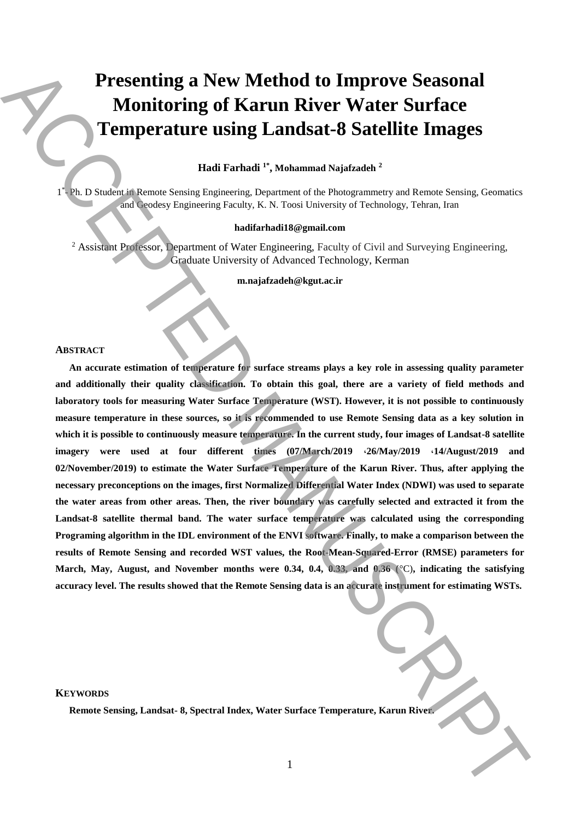# **Presenting a New Method to Improve Seasonal Monitoring of Karun River Water Surface Temperature using Landsat-8 Satellite Images**

**Hadi Farhadi 1\* , Mohammad Najafzadeh <sup>2</sup>**

1<sup>\*</sup>- Ph. D Student in Remote Sensing Engineering, Department of the Photogrammetry and Remote Sensing, Geomatics and Geodesy Engineering Faculty, K. N. Toosi University of Technology, Tehran, Iran

## **hadifarhadi18@gmail.com**

<sup>2</sup> Assistant Professor, Department of Water Engineering, Faculty of Civil and Surveying Engineering, Graduate University of Advanced Technology, Kerman

**m.najafzadeh@kgut.ac.ir**

# **ABSTRACT**

**An accurate estimation of temperature for surface streams plays a key role in assessing quality parameter and additionally their quality classification. To obtain this goal, there are a variety of field methods and laboratory tools for measuring Water Surface Temperature (WST). However, it is not possible to continuously measure temperature in these sources, so it is recommended to use Remote Sensing data as a key solution in which it is possible to continuously measure temperature. In the current study, four images of Landsat-8 satellite imagery were used at four different times (07/March/2019** ،**26/May/2019** ،**14/August/2019 and 02/November/2019) to estimate the Water Surface Temperature of the Karun River. Thus, after applying the necessary preconceptions on the images, first Normalized Differential Water Index (NDWI) was used to separate the water areas from other areas. Then, the river boundary was carefully selected and extracted it from the Landsat-8 satellite thermal band. The water surface temperature was calculated using the corresponding Programing algorithm in the IDL environment of the ENVI software. Finally, to make a comparison between the results of Remote Sensing and recorded WST values, the Root-Mean-Squared-Error (RMSE) parameters for March, May, August, and November months were 0.34, 0.4, 0.33, and 0.36 (**°C)**, indicating the satisfying accuracy level. The results showed that the Remote Sensing data is an accurate instrument for estimating WSTs. Remote Sensing, and New Method to Improve Seasonal Monitoring of Karun River. Water Surface Temperature using Landsat-8 Satellite Images of the spectral Index was a stationary and the stationary and the stationary and the** 

#### **KEYWORDS**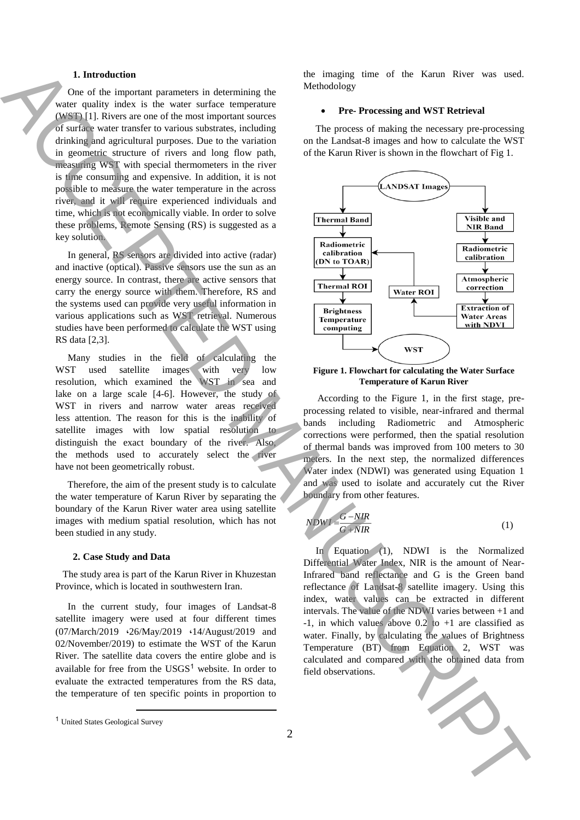## **1. Introduction**

 One of the important parameters in determining the water quality index is the water surface temperature (WST) [1]. Rivers are one of the most important sources of surface water transfer to various substrates, including drinking and agricultural purposes. Due to the variation in geometric structure of rivers and long flow path, measuring WST with special thermometers in the river is time consuming and expensive. In addition, it is not possible to measure the water temperature in the across river, and it will require experienced individuals and time, which is not economically viable. In order to solve these problems, Remote Sensing (RS) is suggested as a key solution.

 In general, RS sensors are divided into active (radar) and inactive (optical). Passive sensors use the sun as an energy source. In contrast, there are active sensors that carry the energy source with them. Therefore, RS and the systems used can provide very useful information in various applications such as WST retrieval. Numerous studies have been performed to calculate the WST using RS data [2,3].

 Many studies in the field of calculating the WST used satellite images with very low resolution, which examined the WST in sea and lake on a large scale [4-6]. However, the study of WST in rivers and narrow water areas received less attention. The reason for this is the inability of satellite images with low spatial resolution to distinguish the exact boundary of the river. Also, the methods used to accurately select the river have not been geometrically robust.

 Therefore, the aim of the present study is to calculate the water temperature of Karun River by separating the boundary of the Karun River water area using satellite images with medium spatial resolution, which has not been studied in any study.

#### **2. Case Study and Data**

 The study area is part of the Karun River in Khuzestan Province, which is located in southwestern Iran.

 In the current study, four images of Landsat-8 satellite imagery were used at four different times (07/March/2019 ،26/May/2019 ،14/August/2019 and 02/November/2019) to estimate the WST of the Karun River. The satellite data covers the entire globe and is available for free from the  $USGS<sup>1</sup>$  website. In order to evaluate the extracted temperatures from the RS data, the temperature of ten specific points in proportion to

the imaging time of the Karun River was used. Methodology

# **Pre- Processing and WST Retrieval**

 The process of making the necessary pre-processing on the Landsat-8 images and how to calculate the WST of the Karun River is shown in the flowchart of Fig 1.



**Figure 1. Flowchart for calculating the Water Surface Temperature of Karun River**

According to the Figure 1, in the first stage, preprocessing related to visible, near-infrared and thermal bands including Radiometric and Atmospheric corrections were performed, then the spatial resolution of thermal bands was improved from 100 meters to 30 meters. In the next step, the normalized differences Water index (NDWI) was generated using Equation 1 and was used to isolate and accurately cut the River boundary from other features.

$$
NDWI = \frac{G - NIR}{G + NIR}
$$
 (1)

 In Equation (1), NDWI is the Normalized Differential Water Index, NIR is the amount of Near-Infrared band reflectance and G is the Green band reflectance of Landsat-8 satellite imagery. Using this index, water values can be extracted in different intervals. The value of the NDWI varies between +1 and -1, in which values above  $0.2$  to  $+1$  are classified as water. Finally, by calculating the values of Brightness Temperature (BT) from Equation 2, WST was calculated and compared with the obtained data from



**.** 

<sup>1</sup> United States Geological Survey